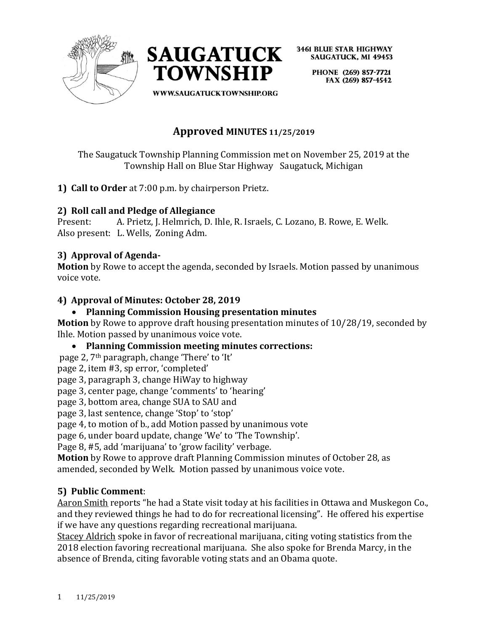



> PHONE (269) 857-7721 FAX (269) 857-4542

**WWW.SAUGATUCKTOWNSHIP.ORG** 

# **Approved MINUTES 11/25/2019**

The Saugatuck Township Planning Commission met on November 25, 2019 at the Township Hall on Blue Star Highway Saugatuck, Michigan

**1) Call to Order** at 7:00 p.m. by chairperson Prietz.

## **2) Roll call and Pledge of Allegiance**

Present: A. Prietz, J. Helmrich, D. Ihle, R. Israels, C. Lozano, B. Rowe, E. Welk. Also present: L. Wells, Zoning Adm.

## **3) Approval of Agenda-**

**Motion** by Rowe to accept the agenda, seconded by Israels. Motion passed by unanimous voice vote.

## **4) Approval of Minutes: October 28, 2019**

## • **Planning Commission Housing presentation minutes**

**Motion** by Rowe to approve draft housing presentation minutes of 10/28/19, seconded by Ihle. Motion passed by unanimous voice vote.

## • **Planning Commission meeting minutes corrections:**

page 2, 7th paragraph, change 'There' to 'It'

page 2, item #3, sp error, 'completed'

page 3, paragraph 3, change HiWay to highway

page 3, center page, change 'comments' to 'hearing'

page 3, bottom area, change SUA to SAU and

page 3, last sentence, change 'Stop' to 'stop'

page 4, to motion of b., add Motion passed by unanimous vote

page 6, under board update, change 'We' to 'The Township'.

Page 8, #5, add 'marijuana' to 'grow facility' verbage.

**Motion** by Rowe to approve draft Planning Commission minutes of October 28, as amended, seconded by Welk. Motion passed by unanimous voice vote.

## **5) Public Comment**:

Aaron Smith reports "he had a State visit today at his facilities in Ottawa and Muskegon Co., and they reviewed things he had to do for recreational licensing". He offered his expertise if we have any questions regarding recreational marijuana.

Stacey Aldrich spoke in favor of recreational marijuana, citing voting statistics from the 2018 election favoring recreational marijuana. She also spoke for Brenda Marcy, in the absence of Brenda, citing favorable voting stats and an Obama quote.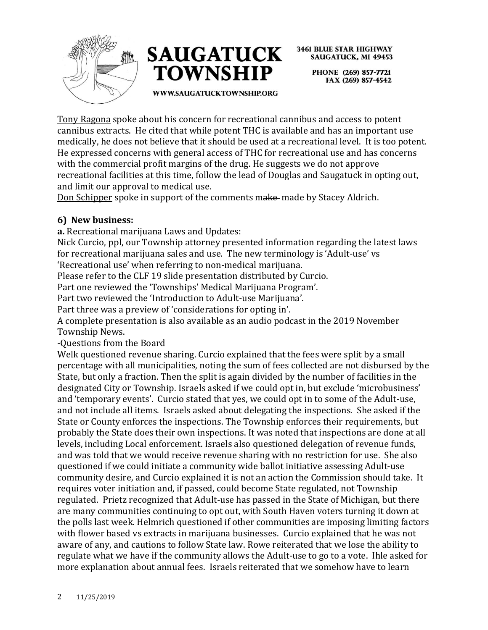



> PHONE (269) 857-7721 FAX (269) 857-4542

**WWW.SAUGATUCKTOWNSHIP.ORG** 

Tony Ragona spoke about his concern for recreational cannibus and access to potent cannibus extracts. He cited that while potent THC is available and has an important use medically, he does not believe that it should be used at a recreational level. It is too potent. He expressed concerns with general access of THC for recreational use and has concerns with the commercial profit margins of the drug. He suggests we do not approve recreational facilities at this time, follow the lead of Douglas and Saugatuck in opting out, and limit our approval to medical use.

Don Schipper spoke in support of the comments make made by Stacey Aldrich.

## **6) New business:**

**a.** Recreational marijuana Laws and Updates:

Nick Curcio, ppl, our Township attorney presented information regarding the latest laws for recreational marijuana sales and use. The new terminology is 'Adult-use' vs 'Recreational use' when referring to non-medical marijuana.

Please refer to the CLF 19 slide presentation distributed by Curcio.

Part one reviewed the 'Townships' Medical Marijuana Program'.

Part two reviewed the 'Introduction to Adult-use Marijuana'.

Part three was a preview of 'considerations for opting in'.

A complete presentation is also available as an audio podcast in the 2019 November Township News.

-Questions from the Board

Welk questioned revenue sharing. Curcio explained that the fees were split by a small percentage with all municipalities, noting the sum of fees collected are not disbursed by the State, but only a fraction. Then the split is again divided by the number of facilities in the designated City or Township. Israels asked if we could opt in, but exclude 'microbusiness' and 'temporary events'. Curcio stated that yes, we could opt in to some of the Adult-use, and not include all items. Israels asked about delegating the inspections. She asked if the State or County enforces the inspections. The Township enforces their requirements, but probably the State does their own inspections. It was noted that inspections are done at all levels, including Local enforcement. Israels also questioned delegation of revenue funds, and was told that we would receive revenue sharing with no restriction for use. She also questioned if we could initiate a community wide ballot initiative assessing Adult-use community desire, and Curcio explained it is not an action the Commission should take. It requires voter initiation and, if passed, could become State regulated, not Township regulated. Prietz recognized that Adult-use has passed in the State of Michigan, but there are many communities continuing to opt out, with South Haven voters turning it down at the polls last week. Helmrich questioned if other communities are imposing limiting factors with flower based vs extracts in marijuana businesses. Curcio explained that he was not aware of any, and cautions to follow State law. Rowe reiterated that we lose the ability to regulate what we have if the community allows the Adult-use to go to a vote. Ihle asked for more explanation about annual fees. Israels reiterated that we somehow have to learn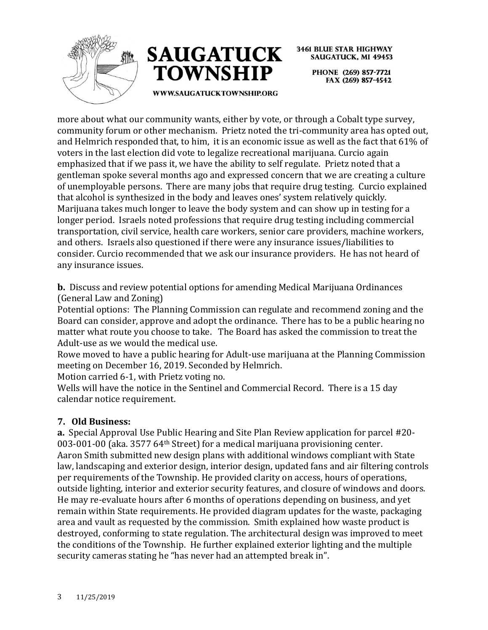



**3461 BLUE STAR HIGHWAY SAUGATUCK, MI 49453** PHONE (269) 857-7721 FAX (269) 857-4542

**WWW.SAUGATUCKTOWNSHIP.ORG** 

more about what our community wants, either by vote, or through a Cobalt type survey, community forum or other mechanism. Prietz noted the tri-community area has opted out, and Helmrich responded that, to him, it is an economic issue as well as the fact that 61% of voters in the last election did vote to legalize recreational marijuana. Curcio again emphasized that if we pass it, we have the ability to self regulate. Prietz noted that a gentleman spoke several months ago and expressed concern that we are creating a culture of unemployable persons. There are many jobs that require drug testing. Curcio explained that alcohol is synthesized in the body and leaves ones' system relatively quickly. Marijuana takes much longer to leave the body system and can show up in testing for a longer period. Israels noted professions that require drug testing including commercial transportation, civil service, health care workers, senior care providers, machine workers, and others. Israels also questioned if there were any insurance issues/liabilities to consider. Curcio recommended that we ask our insurance providers. He has not heard of any insurance issues.

**b.** Discuss and review potential options for amending Medical Marijuana Ordinances (General Law and Zoning)

Potential options: The Planning Commission can regulate and recommend zoning and the Board can consider, approve and adopt the ordinance. There has to be a public hearing no matter what route you choose to take. The Board has asked the commission to treat the Adult-use as we would the medical use.

Rowe moved to have a public hearing for Adult-use marijuana at the Planning Commission meeting on December 16, 2019. Seconded by Helmrich.

Motion carried 6-1, with Prietz voting no.

Wells will have the notice in the Sentinel and Commercial Record. There is a 15 day calendar notice requirement.

## **7. Old Business:**

**a.** Special Approval Use Public Hearing and Site Plan Review application for parcel #20- 003-001-00 (aka. 3577 64th Street) for a medical marijuana provisioning center. Aaron Smith submitted new design plans with additional windows compliant with State law, landscaping and exterior design, interior design, updated fans and air filtering controls per requirements of the Township. He provided clarity on access, hours of operations, outside lighting, interior and exterior security features, and closure of windows and doors. He may re-evaluate hours after 6 months of operations depending on business, and yet remain within State requirements. He provided diagram updates for the waste, packaging area and vault as requested by the commission. Smith explained how waste product is destroyed, conforming to state regulation. The architectural design was improved to meet the conditions of the Township. He further explained exterior lighting and the multiple security cameras stating he "has never had an attempted break in".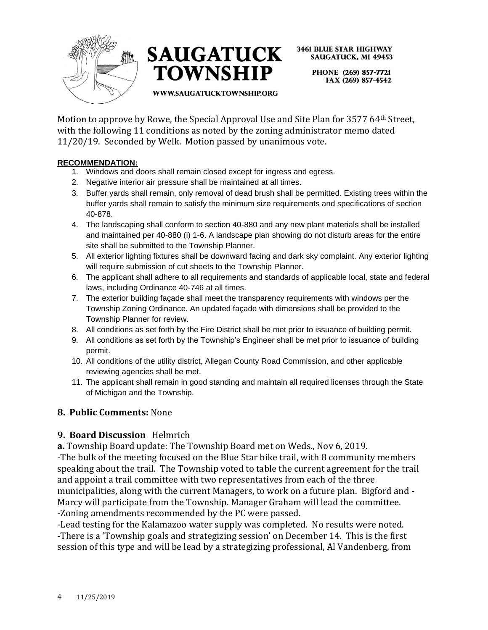



> PHONE (269) 857-7721 FAX (269) 857-4542

#### WWW.SAUGATUCKTOWNSHIP.ORG

Motion to approve by Rowe, the Special Approval Use and Site Plan for 3577 64th Street, with the following 11 conditions as noted by the zoning administrator memo dated 11/20/19. Seconded by Welk. Motion passed by unanimous vote.

#### **RECOMMENDATION:**

- 1. Windows and doors shall remain closed except for ingress and egress.
- 2. Negative interior air pressure shall be maintained at all times.
- 3. Buffer yards shall remain, only removal of dead brush shall be permitted. Existing trees within the buffer yards shall remain to satisfy the minimum size requirements and specifications of section 40-878.
- 4. The landscaping shall conform to section 40-880 and any new plant materials shall be installed and maintained per 40-880 (i) 1-6. A landscape plan showing do not disturb areas for the entire site shall be submitted to the Township Planner.
- 5. All exterior lighting fixtures shall be downward facing and dark sky complaint. Any exterior lighting will require submission of cut sheets to the Township Planner.
- 6. The applicant shall adhere to all requirements and standards of applicable local, state and federal laws, including Ordinance 40-746 at all times.
- 7. The exterior building façade shall meet the transparency requirements with windows per the Township Zoning Ordinance. An updated façade with dimensions shall be provided to the Township Planner for review.
- 8. All conditions as set forth by the Fire District shall be met prior to issuance of building permit.
- 9. All conditions as set forth by the Township's Engineer shall be met prior to issuance of building permit.
- 10. All conditions of the utility district, Allegan County Road Commission, and other applicable reviewing agencies shall be met.
- 11. The applicant shall remain in good standing and maintain all required licenses through the State of Michigan and the Township.

#### **8. Public Comments:** None

#### **9. Board Discussion** Helmrich

**a.** Township Board update: The Township Board met on Weds., Nov 6, 2019.

-The bulk of the meeting focused on the Blue Star bike trail, with 8 community members speaking about the trail. The Township voted to table the current agreement for the trail and appoint a trail committee with two representatives from each of the three municipalities, along with the current Managers, to work on a future plan. Bigford and - Marcy will participate from the Township. Manager Graham will lead the committee. -Zoning amendments recommended by the PC were passed.

-Lead testing for the Kalamazoo water supply was completed. No results were noted. -There is a 'Township goals and strategizing session' on December 14. This is the first session of this type and will be lead by a strategizing professional, Al Vandenberg, from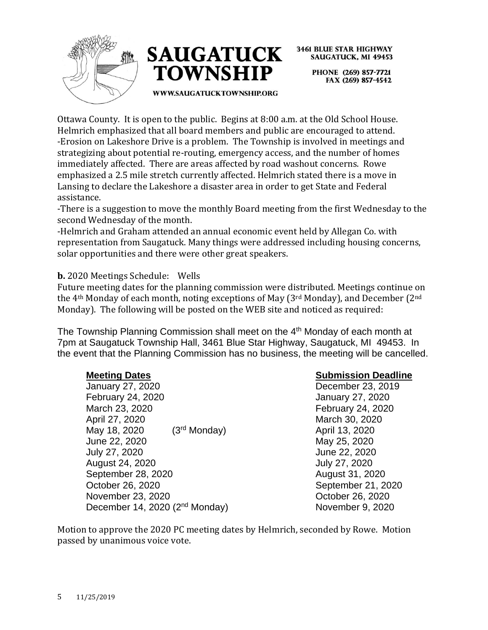



> PHONE (269) 857-7721 FAX (269) 857-4542

WWW.SAUGATUCKTOWNSHIP.ORG

Ottawa County. It is open to the public. Begins at 8:00 a.m. at the Old School House. Helmrich emphasized that all board members and public are encouraged to attend. -Erosion on Lakeshore Drive is a problem. The Township is involved in meetings and strategizing about potential re-routing, emergency access, and the number of homes immediately affected. There are areas affected by road washout concerns. Rowe emphasized a 2.5 mile stretch currently affected. Helmrich stated there is a move in Lansing to declare the Lakeshore a disaster area in order to get State and Federal assistance.

-There is a suggestion to move the monthly Board meeting from the first Wednesday to the second Wednesday of the month.

-Helmrich and Graham attended an annual economic event held by Allegan Co. with representation from Saugatuck. Many things were addressed including housing concerns, solar opportunities and there were other great speakers.

**b.** 2020 Meetings Schedule: Wells

Future meeting dates for the planning commission were distributed. Meetings continue on the 4th Monday of each month, noting exceptions of May (3rd Monday), and December (2nd Monday). The following will be posted on the WEB site and noticed as required:

The Township Planning Commission shall meet on the 4<sup>th</sup> Monday of each month at 7pm at Saugatuck Township Hall, 3461 Blue Star Highway, Saugatuck, MI 49453. In the event that the Planning Commission has no business, the meeting will be cancelled.

January 27, 2020 December 23, 2019 February 24, 2020 January 27, 2020 March 23, 2020 **February 24, 2020** April 27, 2020 March 30, 2020 May 18, 2020 (3<sup>rd</sup> Monday) May 18, 2020 June 22, 2020 May 25, 2020 July 27, 2020 June 22, 2020 August 24, 2020 July 27, 2020 September 28, 2020 August 31, 2020 October 26, 2020 September 21, 2020 November 23, 2020 **Contract 26, 2020 October 26, 2020** December 14, 2020 (2<sup>nd</sup> Monday) November 9, 2020

## **Meeting Dates Submission Deadline**

Motion to approve the 2020 PC meeting dates by Helmrich, seconded by Rowe. Motion passed by unanimous voice vote.